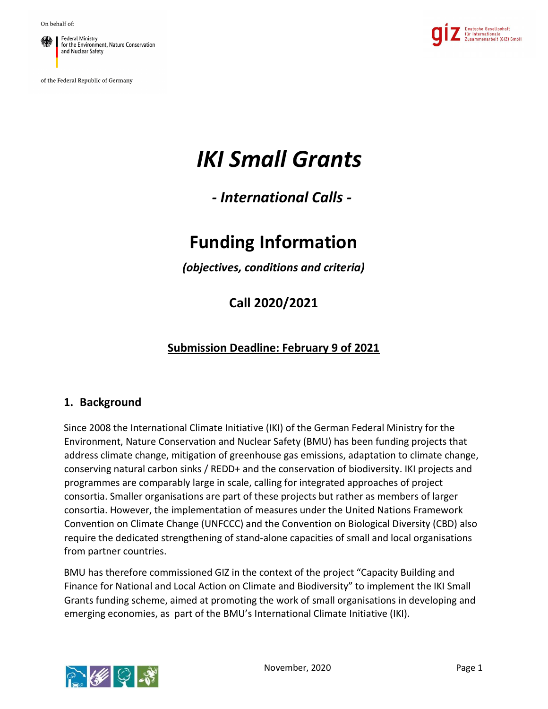**Federal Ministry** for the Environment, Nature Conservation and Nuclear Safety

of the Federal Republic of Germany



# IKI Small Grants

- International Calls -

# Funding Information

(objectives, conditions and criteria)

Call 2020/2021

## Submission Deadline: February 9 of 2021

#### 1. Background

Since 2008 the International Climate Initiative (IKI) of the German Federal Ministry for the Environment, Nature Conservation and Nuclear Safety (BMU) has been funding projects that address climate change, mitigation of greenhouse gas emissions, adaptation to climate change, conserving natural carbon sinks / REDD+ and the conservation of biodiversity. IKI projects and programmes are comparably large in scale, calling for integrated approaches of project consortia. Smaller organisations are part of these projects but rather as members of larger consortia. However, the implementation of measures under the United Nations Framework Convention on Climate Change (UNFCCC) and the Convention on Biological Diversity (CBD) also require the dedicated strengthening of stand-alone capacities of small and local organisations from partner countries.

BMU has therefore commissioned GIZ in the context of the project "Capacity Building and Finance for National and Local Action on Climate and Biodiversity" to implement the IKI Small Grants funding scheme, aimed at promoting the work of small organisations in developing and emerging economies, as part of the BMU's International Climate Initiative (IKI).

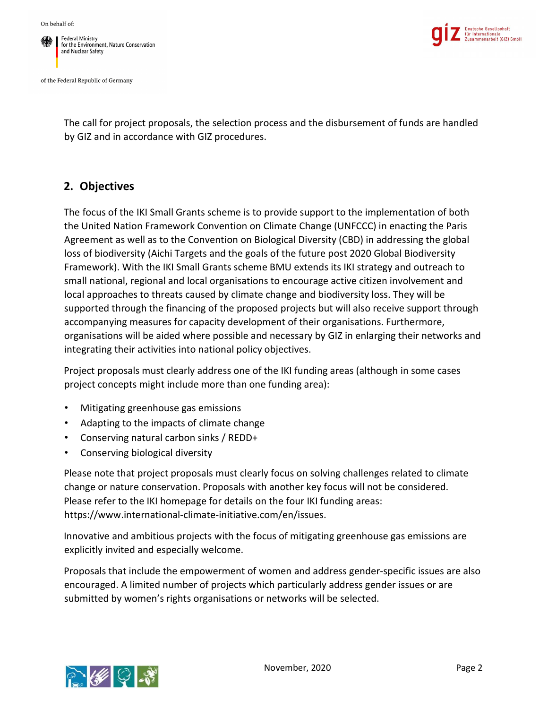



The call for project proposals, the selection process and the disbursement of funds are handled by GIZ and in accordance with GIZ procedures.

### 2. Objectives

The focus of the IKI Small Grants scheme is to provide support to the implementation of both the United Nation Framework Convention on Climate Change (UNFCCC) in enacting the Paris Agreement as well as to the Convention on Biological Diversity (CBD) in addressing the global loss of biodiversity (Aichi Targets and the goals of the future post 2020 Global Biodiversity Framework). With the IKI Small Grants scheme BMU extends its IKI strategy and outreach to small national, regional and local organisations to encourage active citizen involvement and local approaches to threats caused by climate change and biodiversity loss. They will be supported through the financing of the proposed projects but will also receive support through accompanying measures for capacity development of their organisations. Furthermore, organisations will be aided where possible and necessary by GIZ in enlarging their networks and integrating their activities into national policy objectives.

Project proposals must clearly address one of the IKI funding areas (although in some cases project concepts might include more than one funding area):

- Mitigating greenhouse gas emissions
- Adapting to the impacts of climate change
- Conserving natural carbon sinks / REDD+
- Conserving biological diversity

Please note that project proposals must clearly focus on solving challenges related to climate change or nature conservation. Proposals with another key focus will not be considered. Please refer to the IKI homepage for details on the four IKI funding areas: https://www.international-climate-initiative.com/en/issues.

Innovative and ambitious projects with the focus of mitigating greenhouse gas emissions are explicitly invited and especially welcome.

Proposals that include the empowerment of women and address gender-specific issues are also encouraged. A limited number of projects which particularly address gender issues or are submitted by women's rights organisations or networks will be selected.

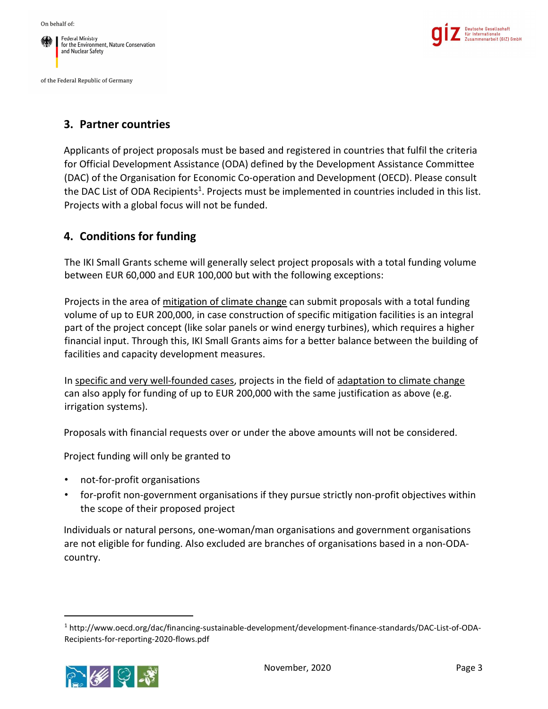



#### 3. Partner countries

Applicants of project proposals must be based and registered in countries that fulfil the criteria for Official Development Assistance (ODA) defined by the Development Assistance Committee (DAC) of the Organisation for Economic Co-operation and Development (OECD). Please consult the DAC List of ODA Recipients<sup>1</sup>. Projects must be implemented in countries included in this list. Projects with a global focus will not be funded.

### 4. Conditions for funding

The IKI Small Grants scheme will generally select project proposals with a total funding volume between EUR 60,000 and EUR 100,000 but with the following exceptions:

Projects in the area of mitigation of climate change can submit proposals with a total funding volume of up to EUR 200,000, in case construction of specific mitigation facilities is an integral part of the project concept (like solar panels or wind energy turbines), which requires a higher financial input. Through this, IKI Small Grants aims for a better balance between the building of facilities and capacity development measures.

In specific and very well-founded cases, projects in the field of adaptation to climate change can also apply for funding of up to EUR 200,000 with the same justification as above (e.g. irrigation systems).

Proposals with financial requests over or under the above amounts will not be considered.

Project funding will only be granted to

- not-for-profit organisations
- for-profit non-government organisations if they pursue strictly non-profit objectives within the scope of their proposed project

Individuals or natural persons, one-woman/man organisations and government organisations are not eligible for funding. Also excluded are branches of organisations based in a non-ODAcountry.

<sup>1</sup> http://www.oecd.org/dac/financing-sustainable-development/development-finance-standards/DAC-List-of-ODA-Recipients-for-reporting-2020-flows.pdf

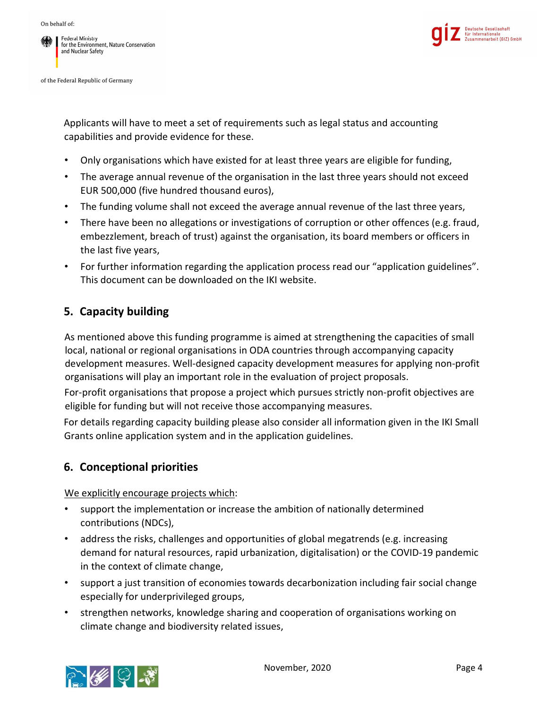



Applicants will have to meet a set of requirements such as legal status and accounting capabilities and provide evidence for these.

- Only organisations which have existed for at least three years are eligible for funding,
- The average annual revenue of the organisation in the last three years should not exceed EUR 500,000 (five hundred thousand euros),
- The funding volume shall not exceed the average annual revenue of the last three years,
- There have been no allegations or investigations of corruption or other offences (e.g. fraud, embezzlement, breach of trust) against the organisation, its board members or officers in the last five years,
- For further information regarding the application process read our "application guidelines". This document can be downloaded on the IKI website.

# 5. Capacity building

As mentioned above this funding programme is aimed at strengthening the capacities of small local, national or regional organisations in ODA countries through accompanying capacity development measures. Well-designed capacity development measures for applying non-profit organisations will play an important role in the evaluation of project proposals.

For-profit organisations that propose a project which pursues strictly non-profit objectives are eligible for funding but will not receive those accompanying measures.

For details regarding capacity building please also consider all information given in the IKI Small Grants online application system and in the application guidelines.

# 6. Conceptional priorities

We explicitly encourage projects which:

- support the implementation or increase the ambition of nationally determined contributions (NDCs),
- address the risks, challenges and opportunities of global megatrends (e.g. increasing demand for natural resources, rapid urbanization, digitalisation) or the COVID-19 pandemic in the context of climate change,
- support a just transition of economies towards decarbonization including fair social change especially for underprivileged groups,
- strengthen networks, knowledge sharing and cooperation of organisations working on climate change and biodiversity related issues,

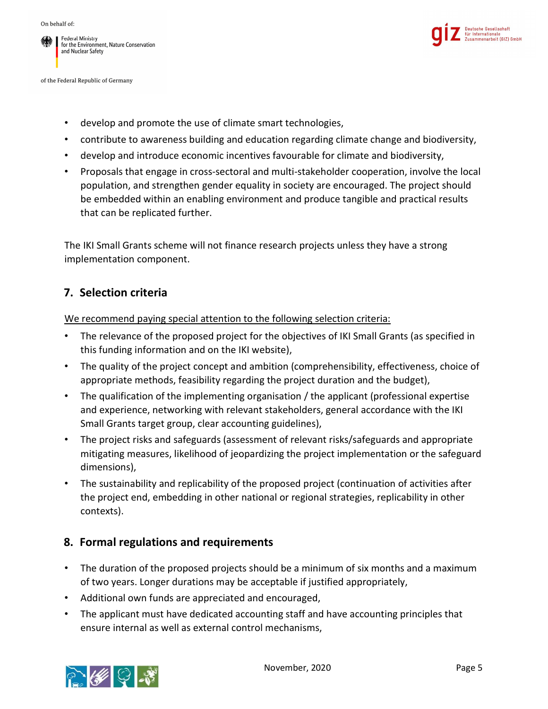



- develop and promote the use of climate smart technologies,
- contribute to awareness building and education regarding climate change and biodiversity,
- develop and introduce economic incentives favourable for climate and biodiversity,
- Proposals that engage in cross-sectoral and multi-stakeholder cooperation, involve the local population, and strengthen gender equality in society are encouraged. The project should be embedded within an enabling environment and produce tangible and practical results that can be replicated further.

The IKI Small Grants scheme will not finance research projects unless they have a strong implementation component.

#### 7. Selection criteria

We recommend paying special attention to the following selection criteria:

- The relevance of the proposed project for the objectives of IKI Small Grants (as specified in this funding information and on the IKI website),
- The quality of the project concept and ambition (comprehensibility, effectiveness, choice of appropriate methods, feasibility regarding the project duration and the budget),
- The qualification of the implementing organisation / the applicant (professional expertise and experience, networking with relevant stakeholders, general accordance with the IKI Small Grants target group, clear accounting guidelines),
- The project risks and safeguards (assessment of relevant risks/safeguards and appropriate mitigating measures, likelihood of jeopardizing the project implementation or the safeguard dimensions),
- The sustainability and replicability of the proposed project (continuation of activities after the project end, embedding in other national or regional strategies, replicability in other contexts).

#### 8. Formal regulations and requirements

- The duration of the proposed projects should be a minimum of six months and a maximum of two years. Longer durations may be acceptable if justified appropriately,
- Additional own funds are appreciated and encouraged,
- The applicant must have dedicated accounting staff and have accounting principles that ensure internal as well as external control mechanisms,